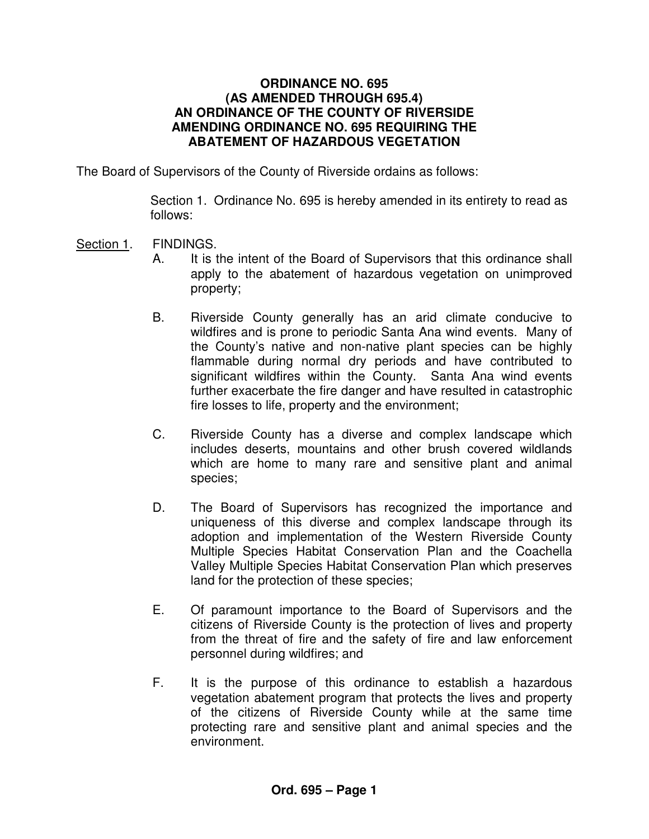### **ORDINANCE NO. 695 (AS AMENDED THROUGH 695.4) AN ORDINANCE OF THE COUNTY OF RIVERSIDE AMENDING ORDINANCE NO. 695 REQUIRING THE ABATEMENT OF HAZARDOUS VEGETATION**

The Board of Supervisors of the County of Riverside ordains as follows:

Section 1. Ordinance No. 695 is hereby amended in its entirety to read as follows:

## Section 1. FINDINGS.

- A. It is the intent of the Board of Supervisors that this ordinance shall apply to the abatement of hazardous vegetation on unimproved property;
- B. Riverside County generally has an arid climate conducive to wildfires and is prone to periodic Santa Ana wind events. Many of the County's native and non-native plant species can be highly flammable during normal dry periods and have contributed to significant wildfires within the County. Santa Ana wind events further exacerbate the fire danger and have resulted in catastrophic fire losses to life, property and the environment;
- C. Riverside County has a diverse and complex landscape which includes deserts, mountains and other brush covered wildlands which are home to many rare and sensitive plant and animal species;
- D. The Board of Supervisors has recognized the importance and uniqueness of this diverse and complex landscape through its adoption and implementation of the Western Riverside County Multiple Species Habitat Conservation Plan and the Coachella Valley Multiple Species Habitat Conservation Plan which preserves land for the protection of these species;
- E. Of paramount importance to the Board of Supervisors and the citizens of Riverside County is the protection of lives and property from the threat of fire and the safety of fire and law enforcement personnel during wildfires; and
- F. It is the purpose of this ordinance to establish a hazardous vegetation abatement program that protects the lives and property of the citizens of Riverside County while at the same time protecting rare and sensitive plant and animal species and the environment.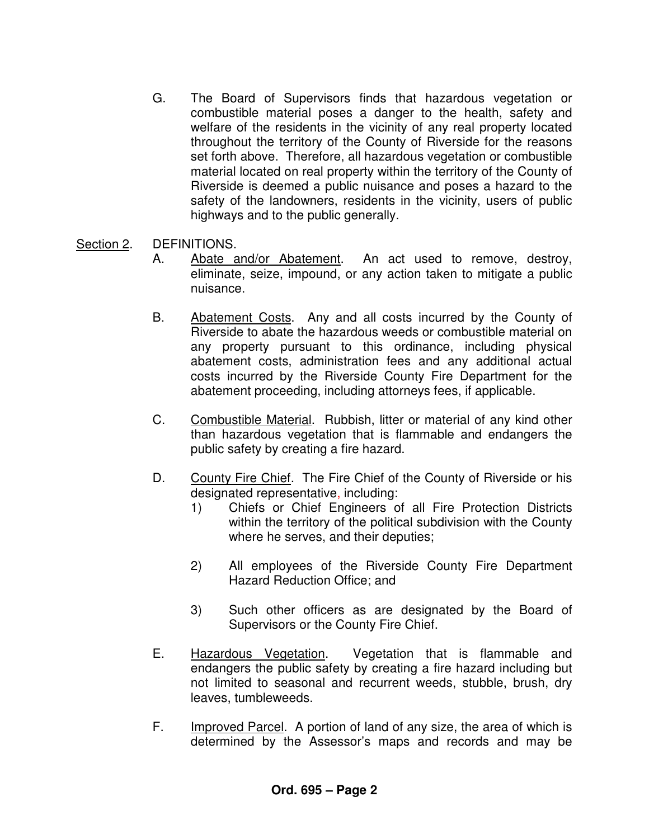G. The Board of Supervisors finds that hazardous vegetation or combustible material poses a danger to the health, safety and welfare of the residents in the vicinity of any real property located throughout the territory of the County of Riverside for the reasons set forth above. Therefore, all hazardous vegetation or combustible material located on real property within the territory of the County of Riverside is deemed a public nuisance and poses a hazard to the safety of the landowners, residents in the vicinity, users of public highways and to the public generally.

## Section 2. DEFINITIONS.

- A. Abate and/or Abatement. An act used to remove, destroy, eliminate, seize, impound, or any action taken to mitigate a public nuisance.
- B. Abatement Costs. Any and all costs incurred by the County of Riverside to abate the hazardous weeds or combustible material on any property pursuant to this ordinance, including physical abatement costs, administration fees and any additional actual costs incurred by the Riverside County Fire Department for the abatement proceeding, including attorneys fees, if applicable.
- C. Combustible Material. Rubbish, litter or material of any kind other than hazardous vegetation that is flammable and endangers the public safety by creating a fire hazard.
- D. County Fire Chief. The Fire Chief of the County of Riverside or his designated representative, including:
	- 1) Chiefs or Chief Engineers of all Fire Protection Districts within the territory of the political subdivision with the County where he serves, and their deputies;
	- 2) All employees of the Riverside County Fire Department Hazard Reduction Office; and
	- 3) Such other officers as are designated by the Board of Supervisors or the County Fire Chief.
- E. Hazardous Vegetation. Vegetation that is flammable and endangers the public safety by creating a fire hazard including but not limited to seasonal and recurrent weeds, stubble, brush, dry leaves, tumbleweeds.
- F. Improved Parcel. A portion of land of any size, the area of which is determined by the Assessor's maps and records and may be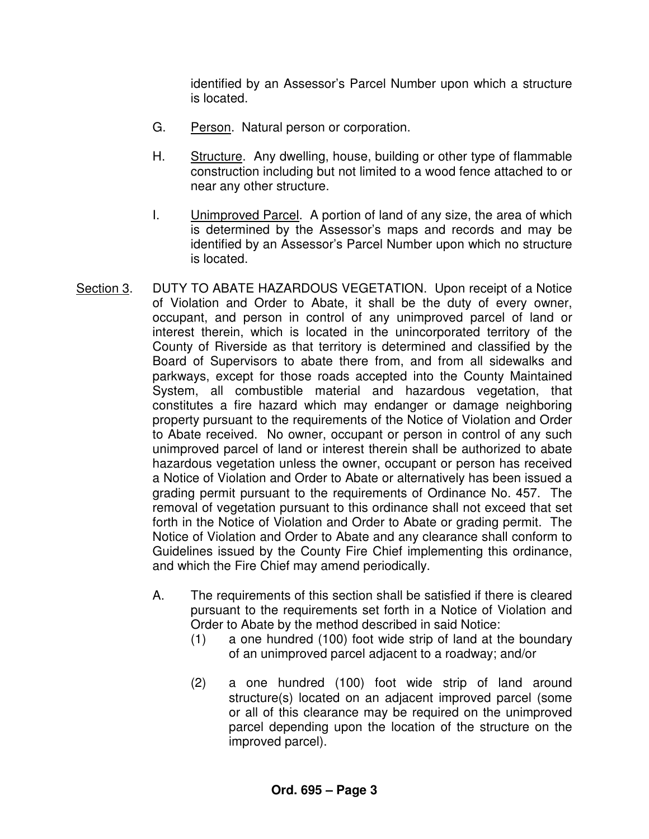identified by an Assessor's Parcel Number upon which a structure is located.

- G. Person. Natural person or corporation.
- H. Structure. Any dwelling, house, building or other type of flammable construction including but not limited to a wood fence attached to or near any other structure.
- I. Unimproved Parcel. A portion of land of any size, the area of which is determined by the Assessor's maps and records and may be identified by an Assessor's Parcel Number upon which no structure is located.
- Section 3. DUTY TO ABATE HAZARDOUS VEGETATION. Upon receipt of a Notice of Violation and Order to Abate, it shall be the duty of every owner, occupant, and person in control of any unimproved parcel of land or interest therein, which is located in the unincorporated territory of the County of Riverside as that territory is determined and classified by the Board of Supervisors to abate there from, and from all sidewalks and parkways, except for those roads accepted into the County Maintained System, all combustible material and hazardous vegetation, that constitutes a fire hazard which may endanger or damage neighboring property pursuant to the requirements of the Notice of Violation and Order to Abate received. No owner, occupant or person in control of any such unimproved parcel of land or interest therein shall be authorized to abate hazardous vegetation unless the owner, occupant or person has received a Notice of Violation and Order to Abate or alternatively has been issued a grading permit pursuant to the requirements of Ordinance No. 457. The removal of vegetation pursuant to this ordinance shall not exceed that set forth in the Notice of Violation and Order to Abate or grading permit. The Notice of Violation and Order to Abate and any clearance shall conform to Guidelines issued by the County Fire Chief implementing this ordinance, and which the Fire Chief may amend periodically.
	- A. The requirements of this section shall be satisfied if there is cleared pursuant to the requirements set forth in a Notice of Violation and Order to Abate by the method described in said Notice:
		- (1) a one hundred (100) foot wide strip of land at the boundary of an unimproved parcel adjacent to a roadway; and/or
		- (2) a one hundred (100) foot wide strip of land around structure(s) located on an adjacent improved parcel (some or all of this clearance may be required on the unimproved parcel depending upon the location of the structure on the improved parcel).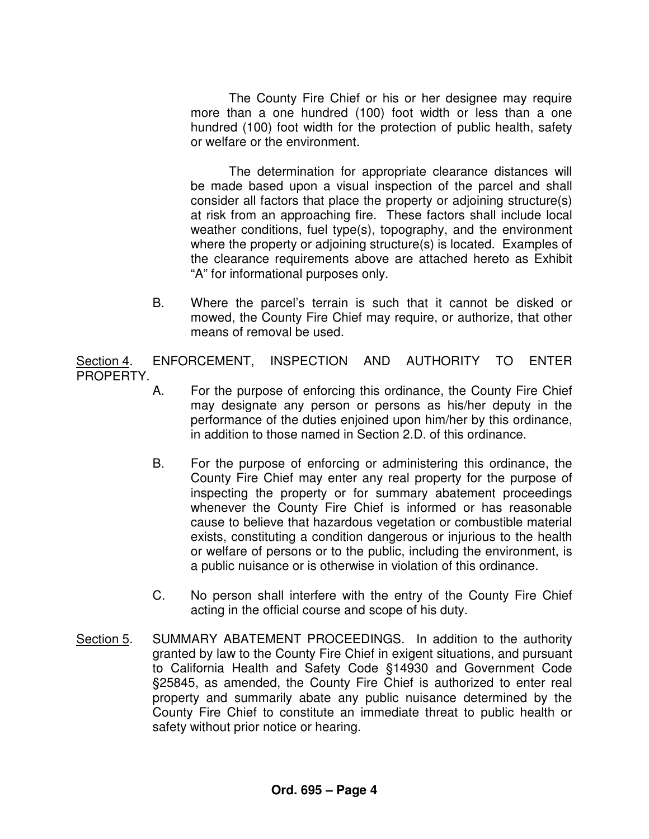The County Fire Chief or his or her designee may require more than a one hundred (100) foot width or less than a one hundred (100) foot width for the protection of public health, safety or welfare or the environment.

The determination for appropriate clearance distances will be made based upon a visual inspection of the parcel and shall consider all factors that place the property or adjoining structure(s) at risk from an approaching fire. These factors shall include local weather conditions, fuel type(s), topography, and the environment where the property or adjoining structure(s) is located. Examples of the clearance requirements above are attached hereto as Exhibit "A" for informational purposes only.

 B. Where the parcel's terrain is such that it cannot be disked or mowed, the County Fire Chief may require, or authorize, that other means of removal be used.

Section 4. ENFORCEMENT, INSPECTION AND AUTHORITY TO ENTER PROPERTY.

- A. For the purpose of enforcing this ordinance, the County Fire Chief may designate any person or persons as his/her deputy in the performance of the duties enjoined upon him/her by this ordinance, in addition to those named in Section 2.D. of this ordinance.
- B. For the purpose of enforcing or administering this ordinance, the County Fire Chief may enter any real property for the purpose of inspecting the property or for summary abatement proceedings whenever the County Fire Chief is informed or has reasonable cause to believe that hazardous vegetation or combustible material exists, constituting a condition dangerous or injurious to the health or welfare of persons or to the public, including the environment, is a public nuisance or is otherwise in violation of this ordinance.
- C. No person shall interfere with the entry of the County Fire Chief acting in the official course and scope of his duty.
- Section 5. SUMMARY ABATEMENT PROCEEDINGS. In addition to the authority granted by law to the County Fire Chief in exigent situations, and pursuant to California Health and Safety Code §14930 and Government Code §25845, as amended, the County Fire Chief is authorized to enter real property and summarily abate any public nuisance determined by the County Fire Chief to constitute an immediate threat to public health or safety without prior notice or hearing.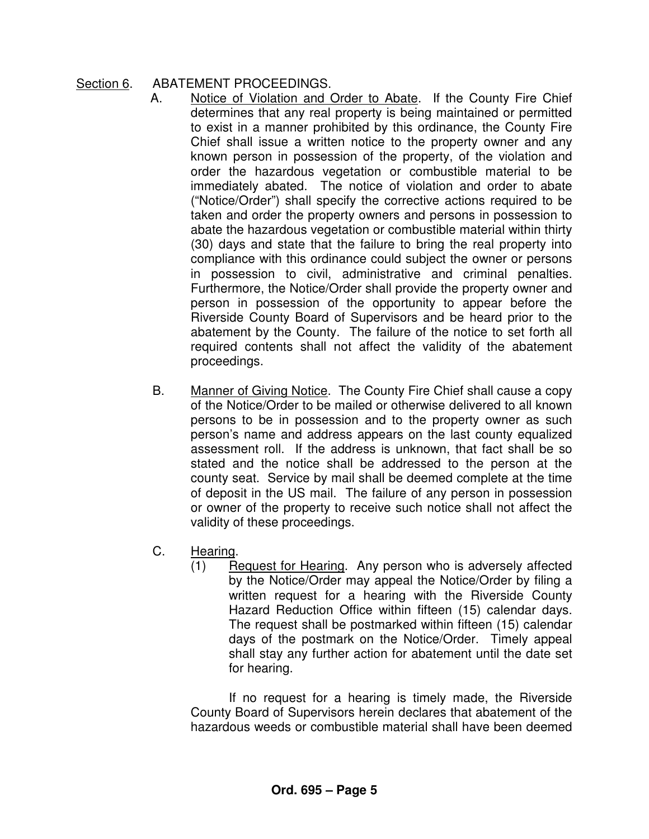# Section 6. ABATEMENT PROCEEDINGS.

- A. Notice of Violation and Order to Abate. If the County Fire Chief determines that any real property is being maintained or permitted to exist in a manner prohibited by this ordinance, the County Fire Chief shall issue a written notice to the property owner and any known person in possession of the property, of the violation and order the hazardous vegetation or combustible material to be immediately abated. The notice of violation and order to abate ("Notice/Order") shall specify the corrective actions required to be taken and order the property owners and persons in possession to abate the hazardous vegetation or combustible material within thirty (30) days and state that the failure to bring the real property into compliance with this ordinance could subject the owner or persons in possession to civil, administrative and criminal penalties. Furthermore, the Notice/Order shall provide the property owner and person in possession of the opportunity to appear before the Riverside County Board of Supervisors and be heard prior to the abatement by the County. The failure of the notice to set forth all required contents shall not affect the validity of the abatement proceedings.
- B. Manner of Giving Notice. The County Fire Chief shall cause a copy of the Notice/Order to be mailed or otherwise delivered to all known persons to be in possession and to the property owner as such person's name and address appears on the last county equalized assessment roll. If the address is unknown, that fact shall be so stated and the notice shall be addressed to the person at the county seat. Service by mail shall be deemed complete at the time of deposit in the US mail. The failure of any person in possession or owner of the property to receive such notice shall not affect the validity of these proceedings.
- C. Hearing.
	- (1) Request for Hearing. Any person who is adversely affected by the Notice/Order may appeal the Notice/Order by filing a written request for a hearing with the Riverside County Hazard Reduction Office within fifteen (15) calendar days. The request shall be postmarked within fifteen (15) calendar days of the postmark on the Notice/Order. Timely appeal shall stay any further action for abatement until the date set for hearing.

 If no request for a hearing is timely made, the Riverside County Board of Supervisors herein declares that abatement of the hazardous weeds or combustible material shall have been deemed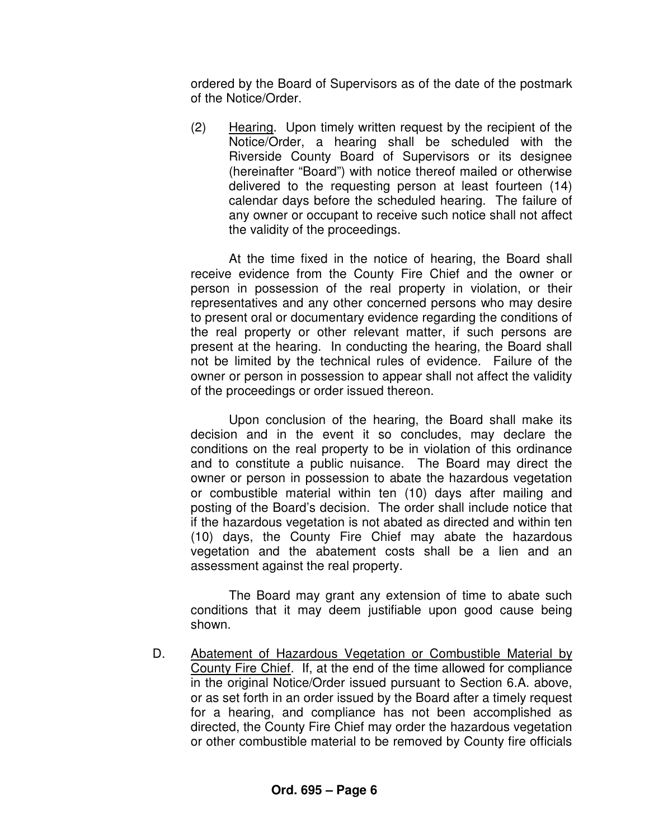ordered by the Board of Supervisors as of the date of the postmark of the Notice/Order.

 (2) Hearing. Upon timely written request by the recipient of the Notice/Order, a hearing shall be scheduled with the Riverside County Board of Supervisors or its designee (hereinafter "Board") with notice thereof mailed or otherwise delivered to the requesting person at least fourteen (14) calendar days before the scheduled hearing. The failure of any owner or occupant to receive such notice shall not affect the validity of the proceedings.

 At the time fixed in the notice of hearing, the Board shall receive evidence from the County Fire Chief and the owner or person in possession of the real property in violation, or their representatives and any other concerned persons who may desire to present oral or documentary evidence regarding the conditions of the real property or other relevant matter, if such persons are present at the hearing. In conducting the hearing, the Board shall not be limited by the technical rules of evidence. Failure of the owner or person in possession to appear shall not affect the validity of the proceedings or order issued thereon.

 Upon conclusion of the hearing, the Board shall make its decision and in the event it so concludes, may declare the conditions on the real property to be in violation of this ordinance and to constitute a public nuisance. The Board may direct the owner or person in possession to abate the hazardous vegetation or combustible material within ten (10) days after mailing and posting of the Board's decision. The order shall include notice that if the hazardous vegetation is not abated as directed and within ten (10) days, the County Fire Chief may abate the hazardous vegetation and the abatement costs shall be a lien and an assessment against the real property.

 The Board may grant any extension of time to abate such conditions that it may deem justifiable upon good cause being shown.

 D. Abatement of Hazardous Vegetation or Combustible Material by County Fire Chief. If, at the end of the time allowed for compliance in the original Notice/Order issued pursuant to Section 6.A. above, or as set forth in an order issued by the Board after a timely request for a hearing, and compliance has not been accomplished as directed, the County Fire Chief may order the hazardous vegetation or other combustible material to be removed by County fire officials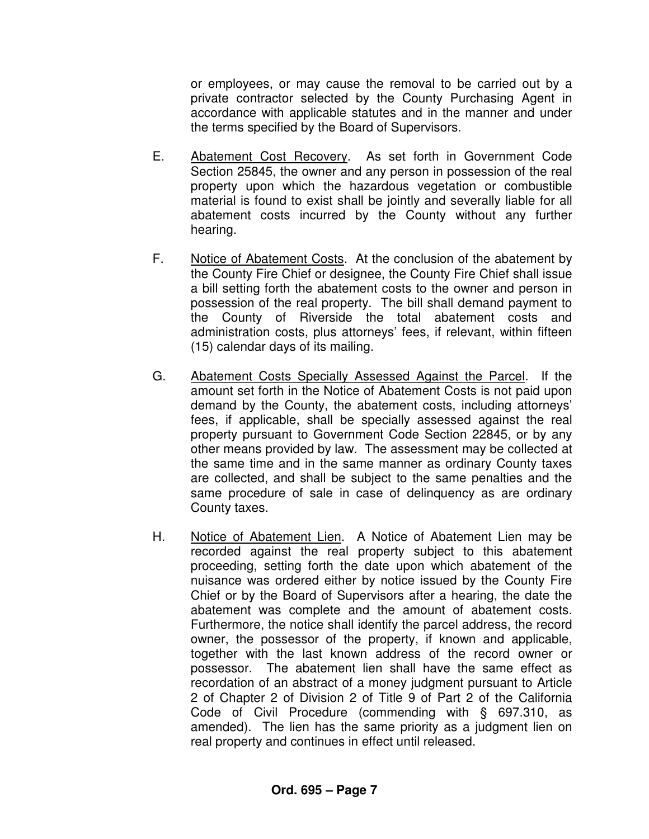or employees, or may cause the removal to be carried out by a private contractor selected by the County Purchasing Agent in accordance with applicable statutes and in the manner and under the terms specified by the Board of Supervisors.

- E. Abatement Cost Recovery. As set forth in Government Code Section 25845, the owner and any person in possession of the real property upon which the hazardous vegetation or combustible material is found to exist shall be jointly and severally liable for all abatement costs incurred by the County without any further hearing.
- F. Notice of Abatement Costs. At the conclusion of the abatement by the County Fire Chief or designee, the County Fire Chief shall issue a bill setting forth the abatement costs to the owner and person in possession of the real property. The bill shall demand payment to the County of Riverside the total abatement costs and administration costs, plus attorneys' fees, if relevant, within fifteen (15) calendar days of its mailing.
- G. Abatement Costs Specially Assessed Against the Parcel. If the amount set forth in the Notice of Abatement Costs is not paid upon demand by the County, the abatement costs, including attorneys' fees, if applicable, shall be specially assessed against the real property pursuant to Government Code Section 22845, or by any other means provided by law. The assessment may be collected at the same time and in the same manner as ordinary County taxes are collected, and shall be subject to the same penalties and the same procedure of sale in case of delinquency as are ordinary County taxes.
- H. Notice of Abatement Lien. A Notice of Abatement Lien may be recorded against the real property subject to this abatement proceeding, setting forth the date upon which abatement of the nuisance was ordered either by notice issued by the County Fire Chief or by the Board of Supervisors after a hearing, the date the abatement was complete and the amount of abatement costs. Furthermore, the notice shall identify the parcel address, the record owner, the possessor of the property, if known and applicable, together with the last known address of the record owner or possessor. The abatement lien shall have the same effect as recordation of an abstract of a money judgment pursuant to Article 2 of Chapter 2 of Division 2 of Title 9 of Part 2 of the California Code of Civil Procedure (commending with § 697.310, as amended). The lien has the same priority as a judgment lien on real property and continues in effect until released.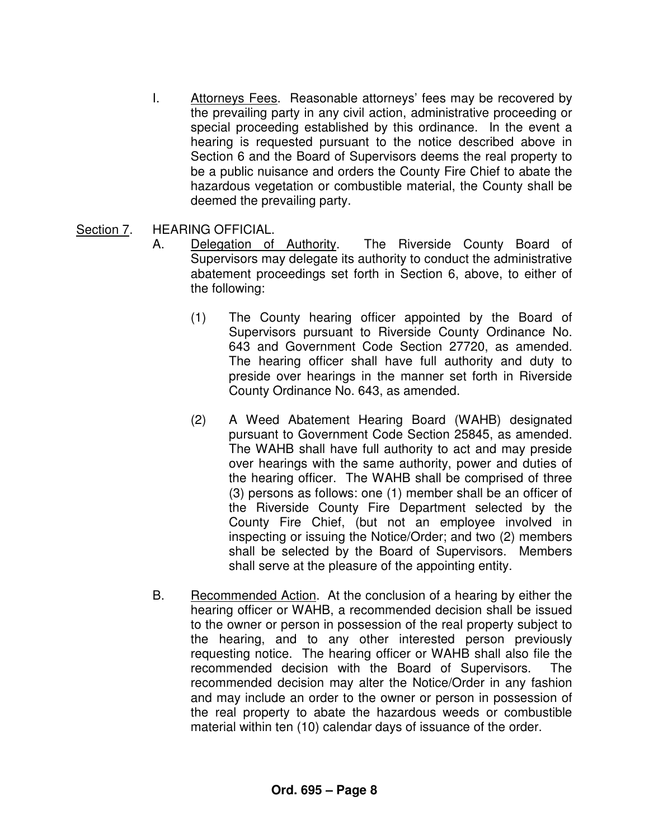I. Attorneys Fees. Reasonable attorneys' fees may be recovered by the prevailing party in any civil action, administrative proceeding or special proceeding established by this ordinance. In the event a hearing is requested pursuant to the notice described above in Section 6 and the Board of Supervisors deems the real property to be a public nuisance and orders the County Fire Chief to abate the hazardous vegetation or combustible material, the County shall be deemed the prevailing party.

## Section 7. HEARING OFFICIAL.

- A. Delegation of Authority. The Riverside County Board of Supervisors may delegate its authority to conduct the administrative abatement proceedings set forth in Section 6, above, to either of the following:
	- (1) The County hearing officer appointed by the Board of Supervisors pursuant to Riverside County Ordinance No. 643 and Government Code Section 27720, as amended. The hearing officer shall have full authority and duty to preside over hearings in the manner set forth in Riverside County Ordinance No. 643, as amended.
	- (2) A Weed Abatement Hearing Board (WAHB) designated pursuant to Government Code Section 25845, as amended. The WAHB shall have full authority to act and may preside over hearings with the same authority, power and duties of the hearing officer. The WAHB shall be comprised of three (3) persons as follows: one (1) member shall be an officer of the Riverside County Fire Department selected by the County Fire Chief, (but not an employee involved in inspecting or issuing the Notice/Order; and two (2) members shall be selected by the Board of Supervisors. Members shall serve at the pleasure of the appointing entity.
- B. Recommended Action. At the conclusion of a hearing by either the hearing officer or WAHB, a recommended decision shall be issued to the owner or person in possession of the real property subject to the hearing, and to any other interested person previously requesting notice. The hearing officer or WAHB shall also file the recommended decision with the Board of Supervisors. The recommended decision may alter the Notice/Order in any fashion and may include an order to the owner or person in possession of the real property to abate the hazardous weeds or combustible material within ten (10) calendar days of issuance of the order.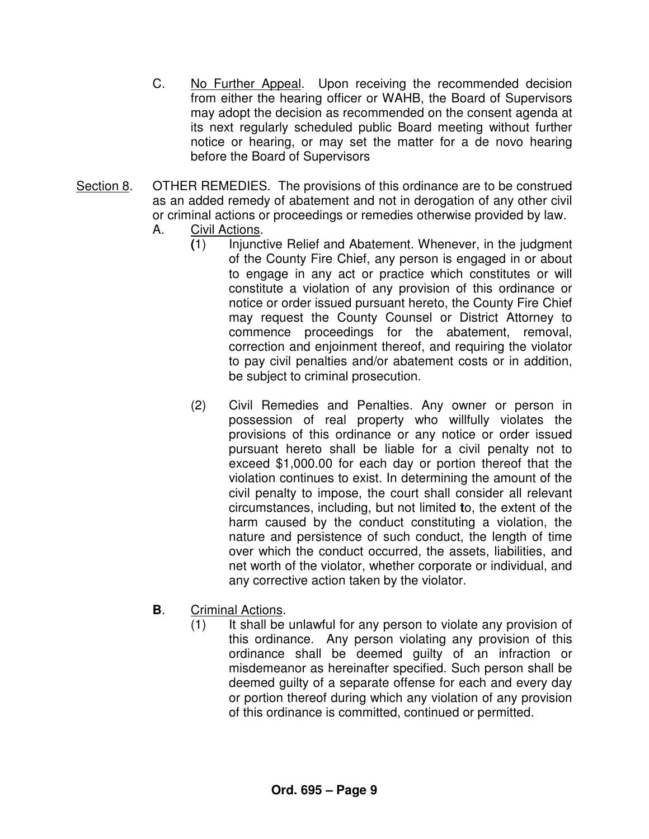- C. No Further Appeal. Upon receiving the recommended decision from either the hearing officer or WAHB, the Board of Supervisors may adopt the decision as recommended on the consent agenda at its next regularly scheduled public Board meeting without further notice or hearing, or may set the matter for a de novo hearing before the Board of Supervisors
- Section 8. OTHER REMEDIES. The provisions of this ordinance are to be construed as an added remedy of abatement and not in derogation of any other civil or criminal actions or proceedings or remedies otherwise provided by law.
	- A. Civil Actions.
		- **(**1) Injunctive Relief and Abatement. Whenever, in the judgment of the County Fire Chief, any person is engaged in or about to engage in any act or practice which constitutes or will constitute a violation of any provision of this ordinance or notice or order issued pursuant hereto, the County Fire Chief may request the County Counsel or District Attorney to commence proceedings for the abatement, removal, correction and enjoinment thereof, and requiring the violator to pay civil penalties and/or abatement costs or in addition, be subject to criminal prosecution.
		- (2) Civil Remedies and Penalties. Any owner or person in possession of real property who willfully violates the provisions of this ordinance or any notice or order issued pursuant hereto shall be liable for a civil penalty not to exceed \$1,000.00 for each day or portion thereof that the violation continues to exist. In determining the amount of the civil penalty to impose, the court shall consider all relevant circumstances, including, but not limited **t**o, the extent of the harm caused by the conduct constituting a violation, the nature and persistence of such conduct, the length of time over which the conduct occurred, the assets, liabilities, and net worth of the violator, whether corporate or individual, and any corrective action taken by the violator.
	- **B**. Criminal Actions.
		- (1) It shall be unlawful for any person to violate any provision of this ordinance. Any person violating any provision of this ordinance shall be deemed guilty of an infraction or misdemeanor as hereinafter specified. Such person shall be deemed guilty of a separate offense for each and every day or portion thereof during which any violation of any provision of this ordinance is committed, continued or permitted.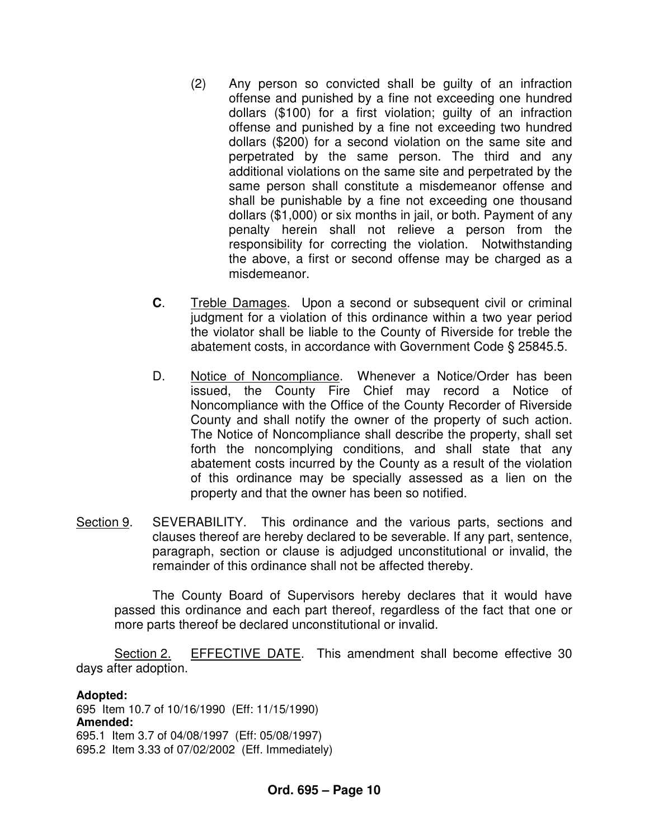- (2) Any person so convicted shall be guilty of an infraction offense and punished by a fine not exceeding one hundred dollars (\$100) for a first violation; guilty of an infraction offense and punished by a fine not exceeding two hundred dollars (\$200) for a second violation on the same site and perpetrated by the same person. The third and any additional violations on the same site and perpetrated by the same person shall constitute a misdemeanor offense and shall be punishable by a fine not exceeding one thousand dollars (\$1,000) or six months in jail, or both. Payment of any penalty herein shall not relieve a person from the responsibility for correcting the violation. Notwithstanding the above, a first or second offense may be charged as a misdemeanor.
- **C**. Treble Damages. Upon a second or subsequent civil or criminal judgment for a violation of this ordinance within a two year period the violator shall be liable to the County of Riverside for treble the abatement costs, in accordance with Government Code § 25845.5.
- D. Notice of Noncompliance. Whenever a Notice/Order has been issued, the County Fire Chief may record a Notice of Noncompliance with the Office of the County Recorder of Riverside County and shall notify the owner of the property of such action. The Notice of Noncompliance shall describe the property, shall set forth the noncomplying conditions, and shall state that any abatement costs incurred by the County as a result of the violation of this ordinance may be specially assessed as a lien on the property and that the owner has been so notified.
- Section 9. SEVERABILITY. This ordinance and the various parts, sections and clauses thereof are hereby declared to be severable. If any part, sentence, paragraph, section or clause is adjudged unconstitutional or invalid, the remainder of this ordinance shall not be affected thereby.

 The County Board of Supervisors hereby declares that it would have passed this ordinance and each part thereof, regardless of the fact that one or more parts thereof be declared unconstitutional or invalid.

 Section 2. EFFECTIVE DATE. This amendment shall become effective 30 days after adoption.

**Adopted:**  695 Item 10.7 of 10/16/1990 (Eff: 11/15/1990) **Amended:** 695.1 Item 3.7 of 04/08/1997 (Eff: 05/08/1997) 695.2 Item 3.33 of 07/02/2002 (Eff. Immediately)